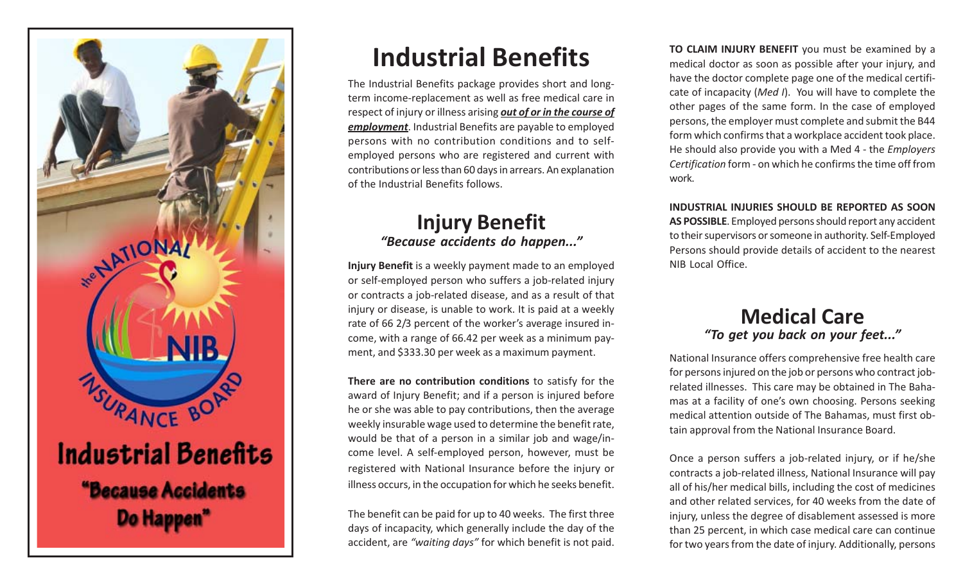

# **Industrial Benefits**

The Industrial Benefits package provides short and longterm income-replacement as well as free medical care in respect of injury or illness arising *out of or in the course of employment*. Industrial Benefits are payable to employed persons with no contribution conditions and to selfemployed persons who are registered and current with contributions or less than 60 days in arrears. An explanation of the Industrial Benefits follows.

### **Injury Benefit** *"Because accidents do happen..."*

**Injury Benefit** is a weekly payment made to an employed or self-employed person who suffers a job-related injury or contracts a job-related disease, and as a result of that injury or disease, is unable to work. It is paid at a weekly rate of 66 2/3 percent of the worker's average insured income, with a range of 66.42 per week as a minimum payment, and \$333.30 per week as a maximum payment.

**There are no contribution conditions** to satisfy for the award of Injury Benefit; and if a person is injured before he or she was able to pay contributions, then the average weekly insurable wage used to determine the benefit rate, would be that of a person in a similar job and wage/income level. A self-employed person, however, must be registered with National Insurance before the injury or illness occurs, in the occupation for which he seeks benefit.

The benefit can be paid for up to 40 weeks. The first three days of incapacity, which generally include the day of the accident, are *"waiting days"* for which benefit is not paid. **TO CLAIM INJURY BENEFIT** you must be examined by a medical doctor as soon as possible after your injury, and have the doctor complete page one of the medical certificate of incapacity (*Med I*). You will have to complete the other pages of the same form. In the case of employed persons, the employer must complete and submit the B44 form which confirms that a workplace accident took place. He should also provide you with a Med 4 - the *Employers Certification* form - on which he confirms the time off from work.

**INDUSTRIAL INJURIES SHOULD BE REPORTED AS SOON AS POSSIBLE**. Employed persons should report any accident to their supervisors or someone in authority. Self-Employed Persons should provide details of accident to the nearest NIB Local Office.

#### **Medical Care** *"To get you back on your feet..."*

National Insurance offers comprehensive free health care for persons injured on the job or persons who contract jobrelated illnesses. This care may be obtained in The Bahamas at a facility of one's own choosing. Persons seeking medical attention outside of The Bahamas, must first obtain approval from the National Insurance Board.

Once a person suffers a job-related injury, or if he/she contracts a job-related illness, National Insurance will pay all of his/her medical bills, including the cost of medicines and other related services, for 40 weeks from the date of injury, unless the degree of disablement assessed is more than 25 percent, in which case medical care can continue for two years from the date of injury. Additionally, persons